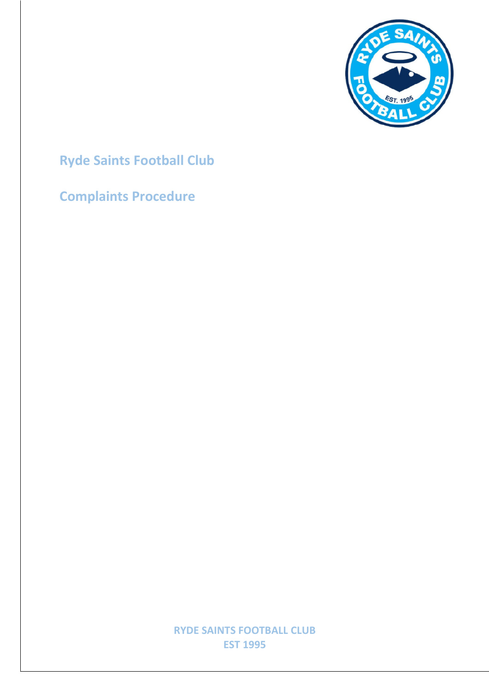

# **Ryde Saints Football Club**

# **Complaints Procedure**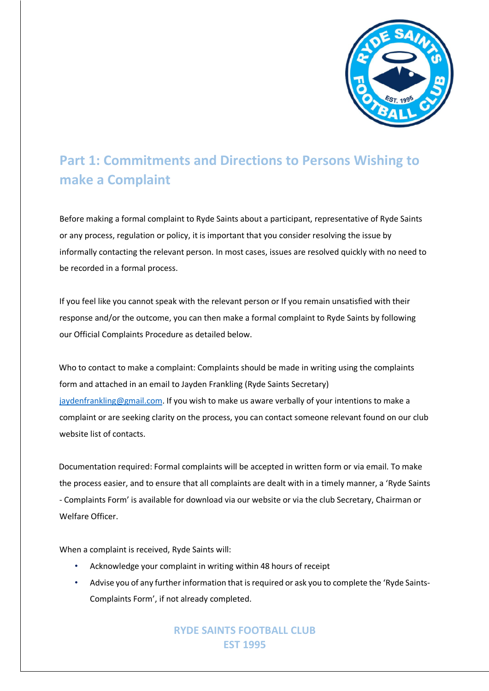

## **Part 1: Commitments and Directions to Persons Wishing to make a Complaint**

Before making a formal complaint to Ryde Saints about a participant, representative of Ryde Saints or any process, regulation or policy, it is important that you consider resolving the issue by informally contacting the relevant person. In most cases, issues are resolved quickly with no need to be recorded in a formal process.

If you feel like you cannot speak with the relevant person or If you remain unsatisfied with their response and/or the outcome, you can then make a formal complaint to Ryde Saints by following our Official Complaints Procedure as detailed below.

Who to contact to make a complaint: Complaints should be made in writing using the complaints form and attached in an email to Jayden Frankling (Ryde Saints Secretary) jaydenfrankling@gmail.com. If you wish to make us aware verbally of your intentions to make a complaint or are seeking clarity on the process, you can contact someone relevant found on our club website list of contacts.

Documentation required: Formal complaints will be accepted in written form or via email. To make the process easier, and to ensure that all complaints are dealt with in a timely manner, a 'Ryde Saints - Complaints Form' is available for download via our website or via the club Secretary, Chairman or Welfare Officer.

When a complaint is received, Ryde Saints will:

- Acknowledge your complaint in writing within 48 hours of receipt
- Advise you of any further information that is required or ask you to complete the 'Ryde Saints-Complaints Form', if not already completed.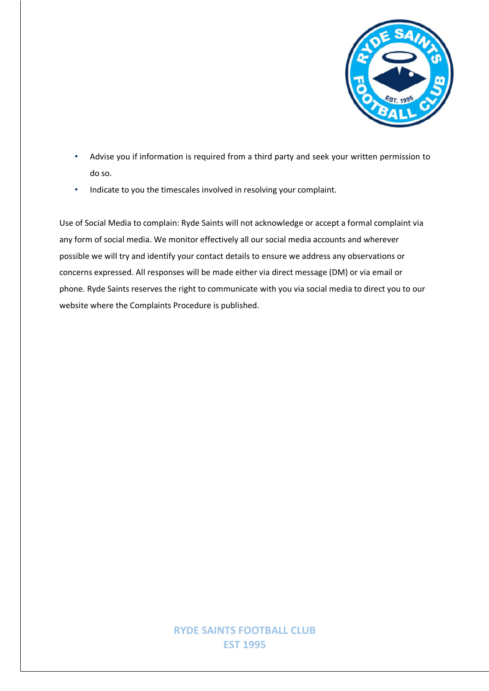

- Advise you if information is required from a third party and seek your written permission to do so.
- Indicate to you the timescales involved in resolving your complaint.

Use of Social Media to complain: Ryde Saints will not acknowledge or accept a formal complaint via any form of social media. We monitor effectively all our social media accounts and wherever possible we will try and identify your contact details to ensure we address any observations or concerns expressed. All responses will be made either via direct message (DM) or via email or phone. Ryde Saints reserves the right to communicate with you via social media to direct you to our website where the Complaints Procedure is published.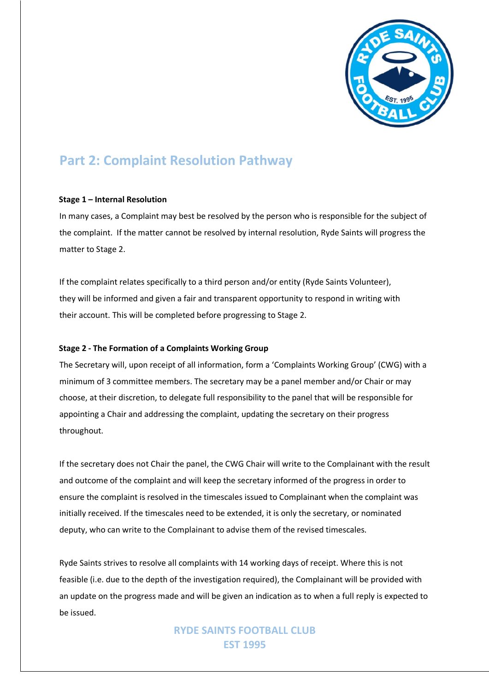

## **Part 2: Complaint Resolution Pathway**

#### **Stage 1 – Internal Resolution**

In many cases, a Complaint may best be resolved by the person who is responsible for the subject of the complaint. If the matter cannot be resolved by internal resolution, Ryde Saints will progress the matter to Stage 2.

If the complaint relates specifically to a third person and/or entity (Ryde Saints Volunteer), they will be informed and given a fair and transparent opportunity to respond in writing with their account. This will be completed before progressing to Stage 2.

#### **Stage 2 - The Formation of a Complaints Working Group**

The Secretary will, upon receipt of all information, form a 'Complaints Working Group' (CWG) with a minimum of 3 committee members. The secretary may be a panel member and/or Chair or may choose, at their discretion, to delegate full responsibility to the panel that will be responsible for appointing a Chair and addressing the complaint, updating the secretary on their progress throughout.

If the secretary does not Chair the panel, the CWG Chair will write to the Complainant with the result and outcome of the complaint and will keep the secretary informed of the progress in order to ensure the complaint is resolved in the timescales issued to Complainant when the complaint was initially received. If the timescales need to be extended, it is only the secretary, or nominated deputy, who can write to the Complainant to advise them of the revised timescales.

Ryde Saints strives to resolve all complaints with 14 working days of receipt. Where this is not feasible (i.e. due to the depth of the investigation required), the Complainant will be provided with an update on the progress made and will be given an indication as to when a full reply is expected to be issued.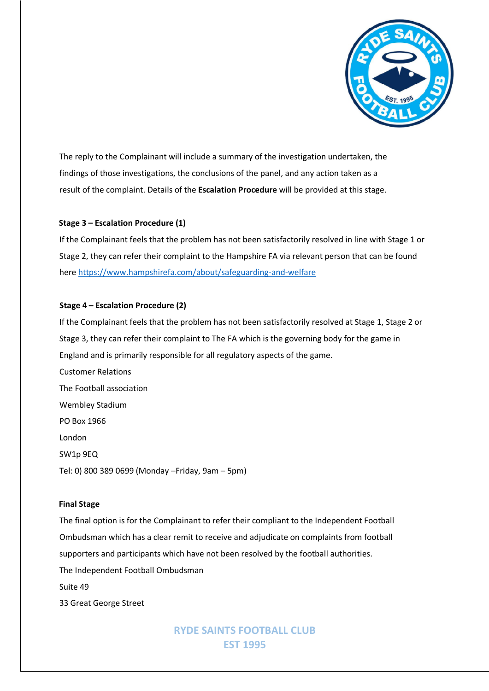

The reply to the Complainant will include a summary of the investigation undertaken, the findings of those investigations, the conclusions of the panel, and any action taken as a result of the complaint. Details of the **Escalation Procedure** will be provided at this stage.

#### **Stage 3 – Escalation Procedure (1)**

If the Complainant feels that the problem has not been satisfactorily resolved in line with Stage 1 or Stage 2, they can refer their complaint to the Hampshire FA via relevant person that can be found here https://www.hampshirefa.com/about/safeguarding-and-welfare

#### **Stage 4 – Escalation Procedure (2)**

If the Complainant feels that the problem has not been satisfactorily resolved at Stage 1, Stage 2 or Stage 3, they can refer their complaint to The FA which is the governing body for the game in England and is primarily responsible for all regulatory aspects of the game.

Customer Relations The Football association Wembley Stadium PO Box 1966 London SW1p 9EQ Tel: 0) 800 389 0699 (Monday –Friday, 9am – 5pm)

#### **Final Stage**

The final option is for the Complainant to refer their compliant to the Independent Football Ombudsman which has a clear remit to receive and adjudicate on complaints from football supporters and participants which have not been resolved by the football authorities. The Independent Football Ombudsman Suite 49 33 Great George Street